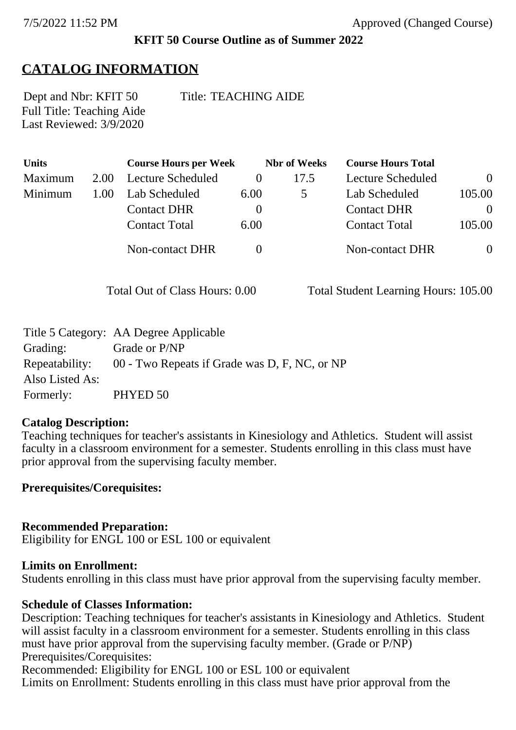### **KFIT 50 Course Outline as of Summer 2022**

# **CATALOG INFORMATION**

Full Title: Teaching Aide Last Reviewed:  $3\sqrt{9}/2020$ 

Dept and Nbr: KFIT 50 Title: TEACHING AIDE

| Units   |      | <b>Course Hours per Week</b> | <b>Nbr</b> of Weeks |      | <b>Course Hours Total</b> |          |
|---------|------|------------------------------|---------------------|------|---------------------------|----------|
| Maximum | 2.00 | Lecture Scheduled            |                     | 17.5 | <b>Lecture Scheduled</b>  | $\Omega$ |
| Minimum | 1.00 | Lab Scheduled                | 6.00                |      | Lab Scheduled             | 105.00   |
|         |      | <b>Contact DHR</b>           | $\theta$            |      | <b>Contact DHR</b>        | $\theta$ |
|         |      | <b>Contact Total</b>         | 6.00                |      | <b>Contact Total</b>      | 105.00   |
|         |      | Non-contact DHR              |                     |      | Non-contact DHR           | $\theta$ |

Total Out of Class Hours: 0.00 Total Student Learning Hours: 105.00

|                 | Title 5 Category: AA Degree Applicable                       |
|-----------------|--------------------------------------------------------------|
| Grading:        | Grade or P/NP                                                |
|                 | Repeatability: 00 - Two Repeats if Grade was D, F, NC, or NP |
| Also Listed As: |                                                              |
| Formerly:       | PHYED 50                                                     |

### **Catalog Description:**

Teaching techniques for teacher's assistants in Kinesiology and Athletics. Student will assist faculty in a classroom environment for a semester. Students enrolling in this class must have prior approval from the supervising faculty member.

**Prerequisites/Corequisites:**

### **Recommended Preparation:**

Eligibility for ENGL 100 or ESL 100 or equivalent

#### **Limits on Enrollment:**

Students enrolling in this class must have prior approval from the supervising faculty member.

### **Schedule of Classes Information:**

Description: Teaching techniques for teacher's assistants in Kinesiology and Athletics. Student will assist faculty in a classroom environment for a semester. Students enrolling in this class must have prior approval from the supervising faculty member. (Grade or P/NP) Prerequisites/Corequisites:

Recommended: Eligibility for ENGL 100 or ESL 100 or equivalent Limits on Enrollment: Students enrolling in this class must have prior approval from the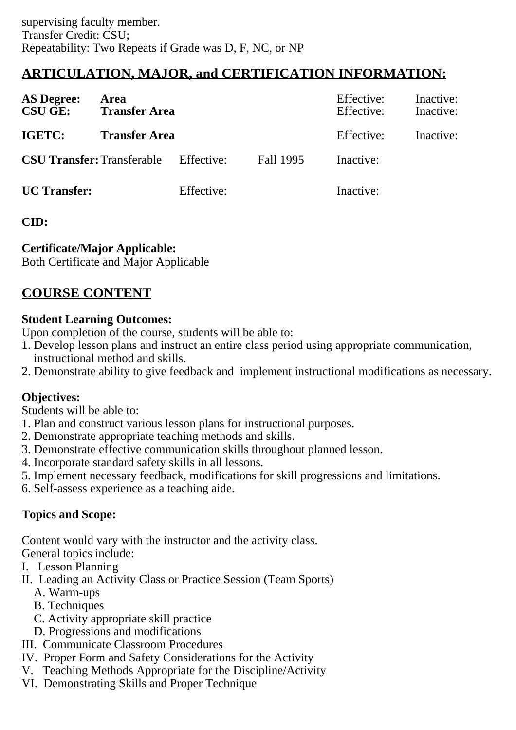# **ARTICULATION, MAJOR, and CERTIFICATION INFORMATION:**

| <b>AS Degree:</b><br><b>CSU GE:</b> | Area<br><b>Transfer Area</b> |            |           | Effective:<br>Effective: | Inactive:<br>Inactive: |
|-------------------------------------|------------------------------|------------|-----------|--------------------------|------------------------|
| IGETC:                              | <b>Transfer Area</b>         |            |           | Effective:               | Inactive:              |
| <b>CSU Transfer: Transferable</b>   |                              | Effective: | Fall 1995 | Inactive:                |                        |
| <b>UC</b> Transfer:                 |                              | Effective: |           | Inactive:                |                        |

# **CID:**

# **Certificate/Major Applicable:**

[Both Certificate and Major Applicable](SR_ClassCheck.aspx?CourseKey=KFIT50)

# **COURSE CONTENT**

# **Student Learning Outcomes:**

Upon completion of the course, students will be able to:

- 1. Develop lesson plans and instruct an entire class period using appropriate communication, instructional method and skills.
- 2. Demonstrate ability to give feedback and implement instructional modifications as necessary.

# **Objectives:**

Students will be able to:

- 1. Plan and construct various lesson plans for instructional purposes.
- 2. Demonstrate appropriate teaching methods and skills.
- 3. Demonstrate effective communication skills throughout planned lesson.
- 4. Incorporate standard safety skills in all lessons.
- 5. Implement necessary feedback, modifications for skill progressions and limitations.
- 6. Self-assess experience as a teaching aide.

# **Topics and Scope:**

Content would vary with the instructor and the activity class.

General topics include:

- I. Lesson Planning
- II. Leading an Activity Class or Practice Session (Team Sports)
	- A. Warm-ups
	- B. Techniques
	- C. Activity appropriate skill practice
	- D. Progressions and modifications
- III. Communicate Classroom Procedures
- IV. Proper Form and Safety Considerations for the Activity
- V. Teaching Methods Appropriate for the Discipline/Activity
- VI. Demonstrating Skills and Proper Technique